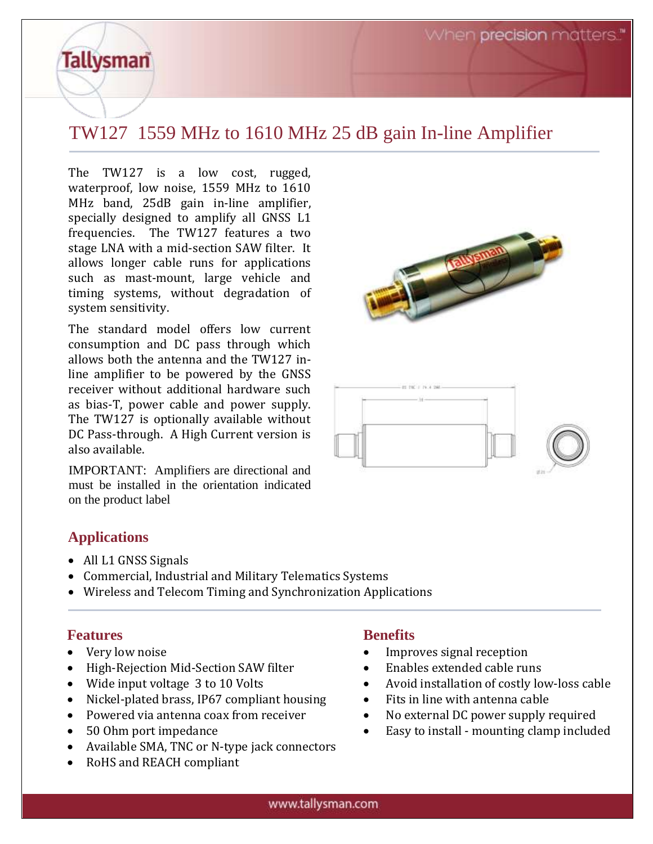When precision matters.

# TW127 1559 MHz to 1610 MHz 25 dB gain In-line Amplifier

The TW127 is a low cost, rugged, waterproof, low noise, 1559 MHz to 1610 MHz band, 25dB gain in-line amplifier, specially designed to amplify all GNSS L1 frequencies. The TW127 features a two stage LNA with a mid-section SAW filter. It allows longer cable runs for applications such as mast-mount, large vehicle and timing systems, without degradation of system sensitivity.

The standard model offers low current consumption and DC pass through which allows both the antenna and the TW127 inline amplifier to be powered by the GNSS receiver without additional hardware such as bias-T, power cable and power supply. The TW127 is optionally available without DC Pass-through. A High Current version is also available.

IMPORTANT: Amplifiers are directional and must be installed in the orientation indicated on the product label





### **Applications**

**Tallysman** 

- All L1 GNSS Signals
- Commercial, Industrial and Military Telematics Systems
- Wireless and Telecom Timing and Synchronization Applications

#### **Features**

- Very low noise
- High-Rejection Mid-Section SAW filter
- Wide input voltage 3 to 10 Volts
- Nickel-plated brass, IP67 compliant housing
- Powered via antenna coax from receiver
- 50 Ohm port impedance
- Available SMA, TNC or N-type jack connectors
- RoHS and REACH compliant

#### **Benefits**

- Improves signal reception
- Enables extended cable runs
- Avoid installation of costly low-loss cable
- Fits in line with antenna cable
- No external DC power supply required
- Easy to install mounting clamp included